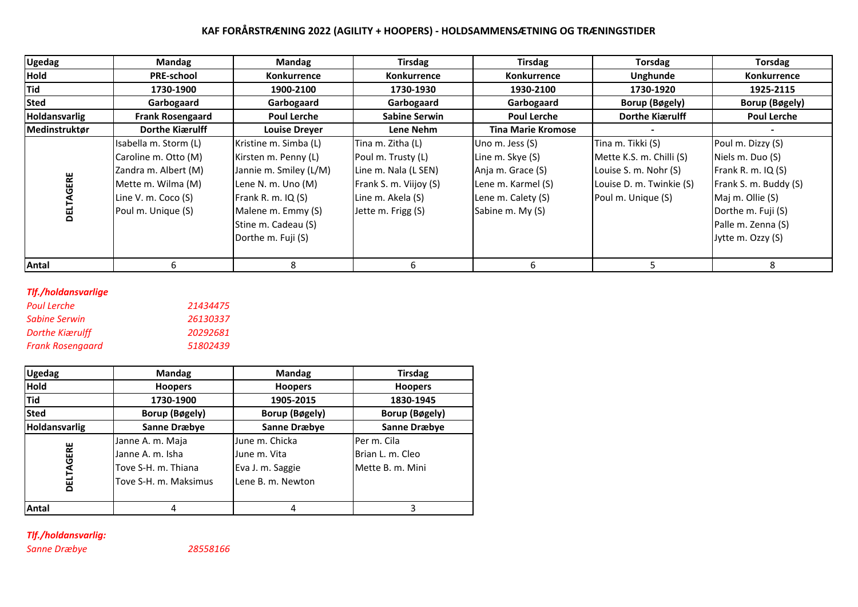# **KAF FORÅRSTRÆNING 2022 (AGILITY + HOOPERS) - HOLDSAMMENSÆTNING OG TRÆNINGSTIDER**

| <b>Ugedag</b> | Mandag                  | Mandag                 | <b>Tirsdag</b>         | <b>Tirsdag</b>            | <b>Torsdag</b>           | <b>Torsdag</b>        |
|---------------|-------------------------|------------------------|------------------------|---------------------------|--------------------------|-----------------------|
| <b>Hold</b>   | <b>PRE-school</b>       | <b>Konkurrence</b>     | Konkurrence            | Konkurrence               | Unghunde                 | Konkurrence           |
| <b>Tid</b>    | 1730-1900               | 1900-2100              | 1730-1930              | 1930-2100                 | 1730-1920                | 1925-2115             |
| <b>Sted</b>   | Garbogaard              | Garbogaard             | Garbogaard             | Garbogaard                | Borup (Bøgely)           | <b>Borup (Bøgely)</b> |
| Holdansvarlig | <b>Frank Rosengaard</b> | <b>Poul Lerche</b>     | <b>Sabine Serwin</b>   | <b>Poul Lerche</b>        | Dorthe Kiærulff          | <b>Poul Lerche</b>    |
| Medinstruktør | Dorthe Kiærulff         | <b>Louise Dreyer</b>   | Lene Nehm              | <b>Tina Marie Kromose</b> |                          |                       |
|               | Isabella m. Storm (L)   | Kristine m. Simba (L)  | Tina m. Zitha (L)      | Uno m. Jess $(S)$         | Tina m. Tikki (S)        | Poul m. Dizzy (S)     |
|               | Caroline m. Otto (M)    | Kirsten m. Penny (L)   | Poul m. Trusty (L)     | Line m. Skye (S)          | Mette K.S. m. Chilli (S) | Niels m. Duo (S)      |
|               | Zandra m. Albert (M)    | Jannie m. Smiley (L/M) | Line m. Nala (L SEN)   | Anja m. Grace (S)         | Louise S. m. Nohr (S)    | Frank R. m. IQ (S)    |
| GERE          | Mette m. Wilma (M)      | Lene N. m. Uno (M)     | Frank S. m. Viijoy (S) | Lene m. Karmel (S)        | Louise D. m. Twinkie (S) | Frank S. m. Buddy (S) |
|               | Line V. m. Coco (S)     | Frank R. m. IQ (S)     | Line m. Akela (S)      | Lene m. Calety (S)        | Poul m. Unique (S)       | Maj m. Ollie (S)      |
| 靣<br>ក        | Poul m. Unique (S)      | Malene m. Emmy (S)     | Jette m. Frigg (S)     | Sabine m. My (S)          |                          | Dorthe m. Fuji (S)    |
|               |                         | Stine m. Cadeau (S)    |                        |                           |                          | Palle m. Zenna (S)    |
|               |                         | Dorthe m. Fuji (S)     |                        |                           |                          | Jytte m. Ozzy (S)     |
|               |                         |                        |                        |                           |                          |                       |
| <b>Antal</b>  |                         | 8                      |                        | h                         |                          |                       |

# *Tlf./holdansvarlige*

| Poul Lerche      | 21434475 |
|------------------|----------|
| Sabine Serwin    | 26130337 |
| Dorthe Kiærulff  | 20292681 |
| Frank Rosengaard | 51802439 |

| <b>Ugedag</b>        | <b>Mandag</b>         | <b>Mandag</b>         | <b>Tirsdag</b>   |
|----------------------|-----------------------|-----------------------|------------------|
| Hold                 | <b>Hoopers</b>        | <b>Hoopers</b>        | <b>Hoopers</b>   |
| <b>Tid</b>           | 1730-1900             | 1905-2015             | 1830-1945        |
| <b>Sted</b>          | <b>Borup (Bøgely)</b> | <b>Borup (Bøgely)</b> | Borup (Bøgely)   |
| <b>Holdansvarlig</b> | <b>Sanne Dræbye</b>   | <b>Sanne Dræbye</b>   | Sanne Dræbye     |
|                      | Janne A. m. Maja      | June m. Chicka        | Per m. Cila      |
|                      | Janne A. m. Isha      | June m. Vita          | Brian L. m. Cleo |
|                      | Tove S-H. m. Thiana   | Eva J. m. Saggie      | Mette B. m. Mini |
| DELTAGERE            | Tove S-H. m. Maksimus | Lene B. m. Newton     |                  |
| Antal                | 4                     | 4                     | 3                |

# *Tlf./holdansvarlig:*

*Sanne Dræbye 28558166*